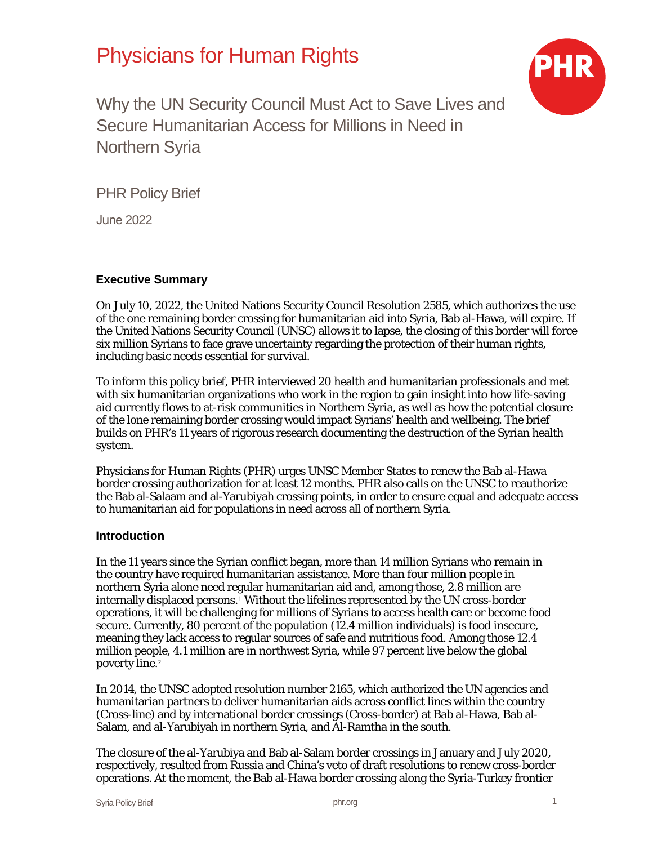# Physicians for Human Rights



Why the UN Security Council Must Act to Save Lives and Secure Humanitarian Access for Millions in Need in Northern Syria

PHR Policy Brief

June 2022

### **Executive Summary**

On July 10, 2022, the United Nations Security Council Resolution 2585, which authorizes the use of the one remaining border crossing for humanitarian aid into Syria, Bab al-Hawa, will expire. If the United Nations Security Council (UNSC) allows it to lapse, the closing of this border will force six million Syrians to face grave uncertainty regarding the protection of their human rights, including basic needs essential for survival.

To inform this policy brief, PHR interviewed 20 health and humanitarian professionals and met with six humanitarian organizations who work in the region to gain insight into how life-saving aid currently flows to at-risk communities in Northern Syria, as well as how the potential closure of the lone remaining border crossing would impact Syrians' health and wellbeing. The brief builds on PHR's 11 years of rigorous research documenting the destruction of the Syrian health system.

Physicians for Human Rights (PHR) urges UNSC Member States to renew the Bab al-Hawa border crossing authorization for at least 12 months. PHR also calls on the UNSC to reauthorize the Bab al-Salaam and al-Yarubiyah crossing points, in order to ensure equal and adequate access to humanitarian aid for populations in need across all of northern Syria.

#### **Introduction**

In the 11 years since the Syrian conflict began, more than 14 million Syrians who remain in the country have required humanitarian assistance. More than four million people in northern Syria alone need regular humanitarian aid and, among those, 2.8 million are internally displaced persons.<sup>[1](#page-4-0)</sup> Without the lifelines represented by the UN cross-border operations, it will be challenging for millions of Syrians to access health care or become food secure. Currently, 80 percent of the population (12.4 million individuals) is food insecure, meaning they lack access to regular sources of safe and nutritious food. Among those 12.4 million people, 4.1 million are in northwest Syria, while 97 percent live below the global poverty line.<sup>[2](#page-4-1)</sup>

In 2014, the UNSC adopted resolution number 2165, which authorized the UN agencies and humanitarian partners to deliver humanitarian aids across conflict lines within the country (Cross-line) and by international border crossings (Cross-border) at Bab al-Hawa, Bab al-Salam, and al-Yarubiyah in northern Syria, and Al-Ramtha in the south.

The closure of the al-Yarubiya and Bab al-Salam border crossings in January and July 2020, respectively, resulted from Russia and China's veto of draft resolutions to renew cross-border operations. At the moment, the Bab al-Hawa border crossing along the Syria-Turkey frontier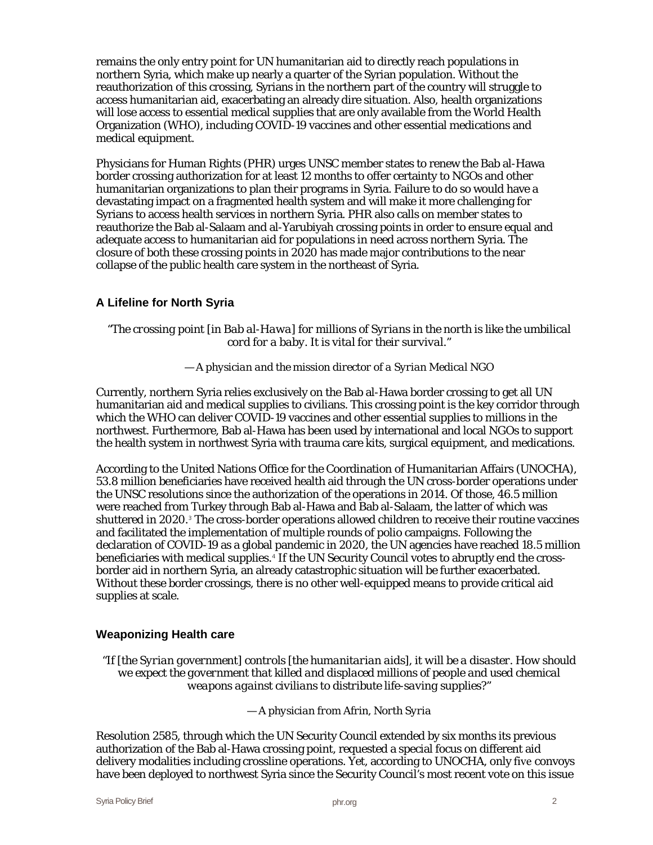remains the only entry point for UN humanitarian aid to directly reach populations in northern Syria, which make up nearly a quarter of the Syrian population. Without the reauthorization of this crossing, Syrians in the northern part of the country will struggle to access humanitarian aid, exacerbating an already dire situation. Also, health organizations will lose access to essential medical supplies that are only available from the World Health Organization (WHO), including COVID-19 vaccines and other essential medications and medical equipment.

Physicians for Human Rights (PHR) urges UNSC member states to renew the Bab al-Hawa border crossing authorization for at least 12 months to offer certainty to NGOs and other humanitarian organizations to plan their programs in Syria. Failure to do so would have a devastating impact on a fragmented health system and will make it more challenging for Syrians to access health services in northern Syria. PHR also calls on member states to reauthorize the Bab al-Salaam and al-Yarubiyah crossing points in order to ensure equal and adequate access to humanitarian aid for populations in need across northern Syria. The closure of both these crossing points in 2020 has made major contributions to the near collapse of the public health care system in the northeast of Syria.

## **A Lifeline for North Syria**

#### *"The crossing point [in Bab al-Hawa] for millions of Syrians in the north is like the umbilical cord for a baby. It is vital for their survival."*

#### *— A physician and the mission director of a Syrian Medical NGO*

Currently, northern Syria relies exclusively on the Bab al-Hawa border crossing to get all UN humanitarian aid and medical supplies to civilians. This crossing point is the key corridor through which the WHO can deliver COVID-19 vaccines and other essential supplies to millions in the northwest. Furthermore, Bab al-Hawa has been used by international and local NGOs to support the health system in northwest Syria with trauma care kits, surgical equipment, and medications.

According to the United Nations Office for the Coordination of Humanitarian Affairs (UNOCHA), 53.8 million beneficiaries have received health aid through the UN cross-border operations under the UNSC resolutions since the authorization of the operations in 2014. Of those, 46.5 million were reached from Turkey through Bab al-Hawa and Bab al-Salaam, the latter of which was shuttered in 2020.<sup>[3](#page-4-2)</sup> The cross-border operations allowed children to receive their routine vaccines and facilitated the implementation of multiple rounds of polio campaigns. Following the declaration of COVID-19 as a global pandemic in 2020, the UN agencies have reached 18.5 million beneficiaries with medical supplies.<sup>[4](#page-4-3)</sup> If the UN Security Council votes to abruptly end the crossborder aid in northern Syria, an already catastrophic situation will be further exacerbated. Without these border crossings, there is no other well-equipped means to provide critical aid supplies at scale.

#### **Weaponizing Health care**

*"If [the Syrian government] controls [the humanitarian aids], it will be a disaster. How should we expect the government that killed and displaced millions of people and used chemical weapons against civilians to distribute life-saving supplies?"*

— *A physician from Afrin, North Syria* 

Resolution 2585, through which the UN Security Council extended by six months its previous authorization of the Bab al-Hawa crossing point, requested a special focus on different aid delivery modalities including crossline operations. Yet, according to UNOCHA, only five convoys have been deployed to northwest Syria since the Security Council's most recent vote on this issue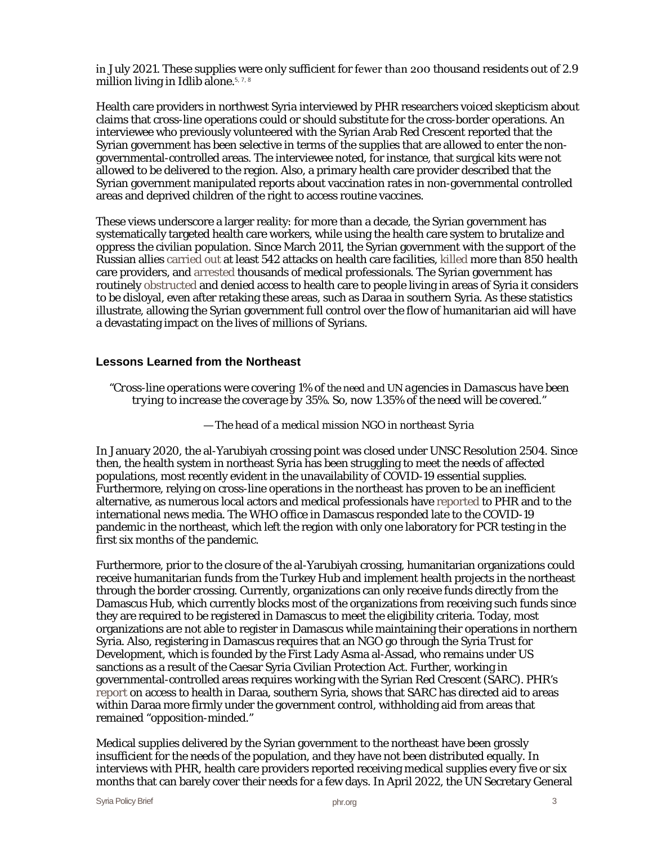in July 2021. These supplies were only sufficient for fewer than 200 thousand residents out of 2.9 million living in Idlib alone.<sup>5[, 7, 8](#page-4-4)</sup>

Health care providers in northwest Syria interviewed by PHR researchers voiced skepticism about claims that cross-line operations could or should substitute for the cross-border operations. An interviewee who previously volunteered with the Syrian Arab Red Crescent reported that the Syrian government has been selective in terms of the supplies that are allowed to enter the nongovernmental-controlled areas. The interviewee noted, for instance, that surgical kits were not allowed to be delivered to the region. Also, a primary health care provider described that the Syrian government manipulated reports about vaccination rates in non-governmental controlled areas and deprived children of the right to access routine vaccines.

These views underscore a larger reality: for more than a decade, the Syrian government has systematically targeted health care workers, while using the health care system to brutalize and oppress the civilian population. Since March 2011, the Syrian government with the support of the Russian allies [carried out](https://syriamap.phr.org/#/en) at least 542 attacks on health care facilities, [killed](https://phr.org/our-work/resources/medical-personnel-are-targeted-in-syria/) more than 850 health care providers, and [arrested](https://phr.org/our-work/resources/the-survivors-the-dead-and-the-disappeared/) thousands of medical professionals. The Syrian government has routinely [obstructed](https://phr.org/our-work/resources/obstruction-and-denial-health-system-disparities-and-covid-19-in-daraa-syria/) and denied access to health care to people living in areas of Syria it considers to be disloyal, even after retaking these areas, such as Daraa in southern Syria. As these statistics illustrate, allowing the Syrian government full control over the flow of humanitarian aid will have a devastating impact on the lives of millions of Syrians.

#### **Lessons Learned from the Northeast**

*"Cross-line operations were covering 1% of the need and UN agencies in Damascus have been trying to increase the coverage by 35%. So, now 1.35% of the need will be covered."*

— *The head of a medical mission NGO in northeast Syria*

In January 2020, the al-Yarubiyah crossing point was closed under UNSC Resolution 2504. Since then, the health system in northeast Syria has been struggling to meet the needs of affected populations, most recently evident in the unavailability of COVID-19 essential supplies. Furthermore, relying on cross-line operations in the northeast has proven to be an inefficient alternative, as numerous local actors and medical professionals have [reported](https://phr.org/our-work/resources/syria-health-disparities/) to PHR and to the international news media. The WHO office in Damascus responded late to the COVID-19 pandemic in the northeast, which left the region with only one laboratory for PCR testing in the first six months of the pandemic.

Furthermore, prior to the closure of the al-Yarubiyah crossing, humanitarian organizations could receive humanitarian funds from the Turkey Hub and implement health projects in the northeast through the border crossing. Currently, organizations can only receive funds directly from the Damascus Hub, which currently blocks most of the organizations from receiving such funds since they are required to be registered in Damascus to meet the eligibility criteria. Today, most organizations are not able to register in Damascus while maintaining their operations in northern Syria. Also, registering in Damascus requires that an NGO go through the Syria Trust for Development, which is founded by the First Lady Asma al-Assad, who remains under US sanctions as a result of the Caesar Syria Civilian Protection Act. Further, working in governmental-controlled areas requires working with the Syrian Red Crescent (SARC). PHR's [report](https://phr.org/our-work/resources/obstruction-and-denial-health-system-disparities-and-covid-19-in-daraa-syria/) on access to health in Daraa, southern Syria, shows that SARC has directed aid to areas within Daraa more firmly under the government control, withholding aid from areas that remained "opposition-minded."

Medical supplies delivered by the Syrian government to the northeast have been grossly insufficient for the needs of the population, and they have not been distributed equally. In interviews with PHR, health care providers reported receiving medical supplies every five or six months that can barely cover their needs for a few days. In April 2022, the UN Secretary General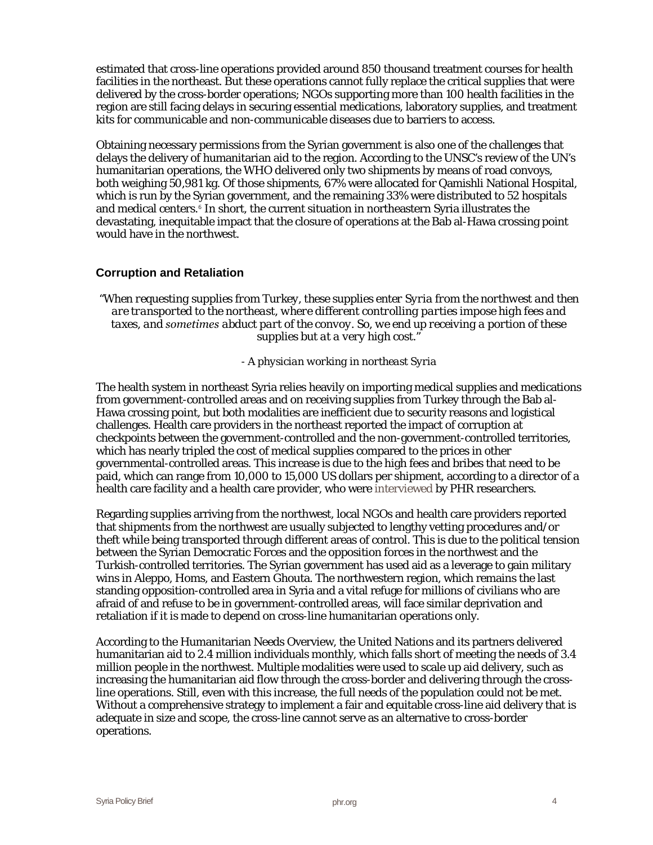estimated that cross-line operations provided around 850 thousand treatment courses for health facilities in the northeast. But these operations cannot fully replace the critical supplies that were delivered by the cross-border operations; NGOs supporting more than 100 health facilities in the region are still facing delays in securing essential medications, laboratory supplies, and treatment kits for communicable and non-communicable diseases due to barriers to access.

Obtaining necessary permissions from the Syrian government is also one of the challenges that delays the delivery of humanitarian aid to the region. According to the UNSC's review of the UN's humanitarian operations, the WHO delivered only two shipments by means of road convoys, both weighing 50,981 kg. Of those shipments, 67% were allocated for Qamishli National Hospital, which is run by the Syrian government, and the remaining 33% were distributed to 52 hospitals and medical centers.<sup>[6](#page-4-5)</sup> In short, the current situation in northeastern Syria illustrates the devastating, inequitable impact that the closure of operations at the Bab al-Hawa crossing point would have in the northwest.

### **Corruption and Retaliation**

*"When requesting supplies from Turkey, these supplies enter Syria from the northwest and then are transported to the northeast, where different controlling parties impose high fees and taxes, and sometimes abduct part of the convoy. So, we end up receiving a portion of these supplies but at a very high cost."* 

*- A physician working in northeast Syria*

The health system in northeast Syria relies heavily on importing medical supplies and medications from government-controlled areas and on receiving supplies from Turkey through the Bab al-Hawa crossing point, but both modalities are inefficient due to security reasons and logistical challenges. Health care providers in the northeast reported the impact of corruption at checkpoints between the government-controlled and the non-government-controlled territories, which has nearly tripled the cost of medical supplies compared to the prices in other governmental-controlled areas. This increase is due to the high fees and bribes that need to be paid, which can range from 10,000 to 15,000 US dollars per shipment, according to a director of a health care facility and a health care provider, who were [interviewed](https://phr.org/our-work/resources/syria-health-disparities/) by PHR researchers.

Regarding supplies arriving from the northwest, local NGOs and health care providers reported that shipments from the northwest are usually subjected to lengthy vetting procedures and/or theft while being transported through different areas of control. This is due to the political tension between the Syrian Democratic Forces and the opposition forces in the northwest and the Turkish-controlled territories. The Syrian government has used aid as a leverage to gain military wins in Aleppo, Homs, and Eastern Ghouta. The northwestern region, which remains the last standing opposition-controlled area in Syria and a vital refuge for millions of civilians who are afraid of and refuse to be in government-controlled areas, will face similar deprivation and retaliation if it is made to depend on cross-line humanitarian operations only.

According to the Humanitarian Needs Overview, the United Nations and its partners delivered humanitarian aid to 2.4 million individuals monthly, which falls short of meeting the needs of 3.4 million people in the northwest. Multiple modalities were used to scale up aid delivery, such as increasing the humanitarian aid flow through the cross-border and delivering through the crossline operations. Still, even with this increase, the full needs of the population could not be met. Without a comprehensive strategy to implement a fair and equitable cross-line aid delivery that is adequate in size and scope, the cross-line cannot serve as an alternative to cross-border operations.